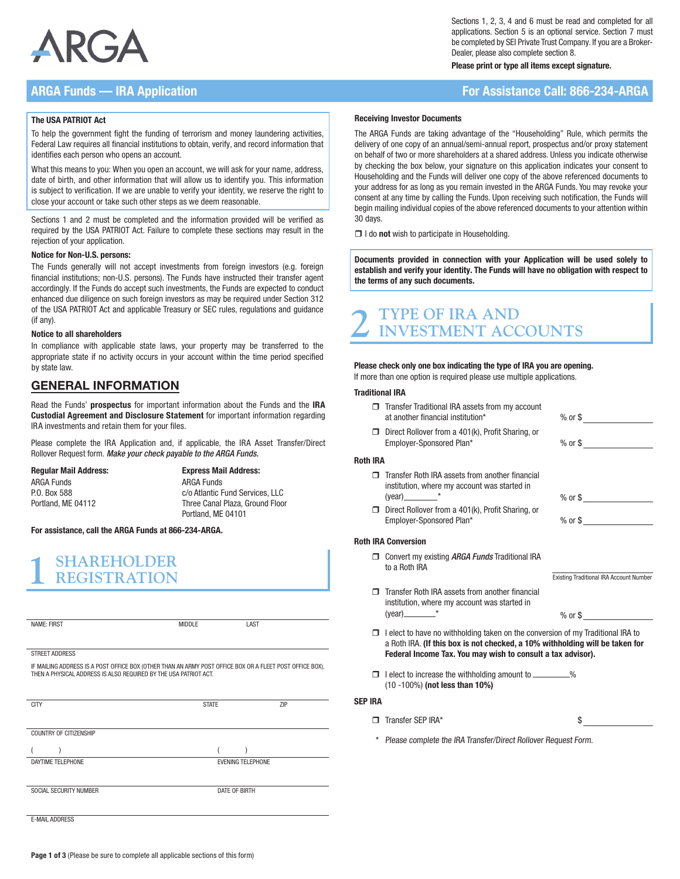

### ARGA Funds — IRA Application For Assistance Call: 866-234-ARGA

### The USA PATRIOT Act

To help the government fight the funding of terrorism and money laundering activities, Federal Law requires all financial institutions to obtain, verify, and record information that identifies each person who opens an account.

What this means to you: When you open an account, we will ask for your name, address, date of birth, and other information that will allow us to identify you. This information is subject to verification. If we are unable to verify your identity, we reserve the right to close your account or take such other steps as we deem reasonable.

Sections 1 and 2 must be completed and the information provided will be verified as required by the USA PATRIOT Act. Failure to complete these sections may result in the rejection of your application.

### Notice for Non-U.S. persons:

The Funds generally will not accept investments from foreign investors (e.g. foreign financial institutions; non-U.S. persons). The Funds have instructed their transfer agent accordingly. If the Funds do accept such investments, the Funds are expected to conduct enhanced due diligence on such foreign investors as may be required under Section 312 of the USA PATRIOT Act and applicable Treasury or SEC rules, regulations and guidance (if any).

### Notice to all shareholders

In compliance with applicable state laws, your property may be transferred to the appropriate state if no activity occurs in your account within the time period specified by state law.

### GENERAL INFORMATION

Read the Funds' prospectus for important information about the Funds and the IRA Custodial Agreement and Disclosure Statement for important information regarding IRA investments and retain them for your files.

Please complete the IRA Application and, if applicable, the IRA Asset Transfer/Direct Rollover Request form. *Make your check payable to the ARGA Funds.*

Regular Mail Address: ARGA Funds P.O. Box 588 Portland, ME 04112

Express Mail Address: ARGA Funds c/o Atlantic Fund Services, LLC Three Canal Plaza, Ground Floor Portland, ME 04101

For assistance, call the ARGA Funds at 866-234-ARGA.

# **1 SHAREHOLDER REGISTRATION**

| <b>NAME: FIRST</b>                                                                                                                                                           | <b>MIDDLE</b> | LAST                     |            |
|------------------------------------------------------------------------------------------------------------------------------------------------------------------------------|---------------|--------------------------|------------|
|                                                                                                                                                                              |               |                          |            |
| <b>STREET ADDRESS</b>                                                                                                                                                        |               |                          |            |
| IF MAILING ADDRESS IS A POST OFFICE BOX (OTHER THAN AN ARMY POST OFFICE BOX OR A FLEET POST OFFICE BOX),<br>THEN A PHYSICAL ADDRESS IS ALSO REQUIRED BY THE USA PATRIOT ACT. |               |                          |            |
| <b>CITY</b>                                                                                                                                                                  | <b>STATE</b>  |                          | <b>ZIP</b> |
|                                                                                                                                                                              |               |                          |            |
|                                                                                                                                                                              |               |                          |            |
| COUNTRY OF CITIZENSHIP                                                                                                                                                       |               |                          |            |
|                                                                                                                                                                              |               |                          |            |
| DAYTIME TELEPHONE                                                                                                                                                            |               | <b>EVENING TELEPHONE</b> |            |
|                                                                                                                                                                              |               |                          |            |
| SOCIAL SECURITY NUMBER                                                                                                                                                       |               | DATE OF BIRTH            |            |
|                                                                                                                                                                              |               |                          |            |
| <b>E-MAIL ADDRESS</b>                                                                                                                                                        |               |                          |            |

Sections 1, 2, 3, 4 and 6 must be read and completed for all applications. Section 5 is an optional service. Section 7 must be completed by SEI Private Trust Company. If you are a Broker-Dealer, please also complete section 8.

Please print or type all items except signature.

#### Receiving Investor Documents

The ARGA Funds are taking advantage of the "Householding" Rule, which permits the delivery of one copy of an annual/semi-annual report, prospectus and/or proxy statement on behalf of two or more shareholders at a shared address. Unless you indicate otherwise by checking the box below, your signature on this application indicates your consent to Householding and the Funds will deliver one copy of the above referenced documents to your address for as long as you remain invested in the ARGA Funds. You may revoke your consent at any time by calling the Funds. Upon receiving such notification, the Funds will begin mailing individual copies of the above referenced documents to your attention within 30 days.

 $\Box$  I do not wish to participate in Householding.

Documents provided in connection with your Application will be used solely to establish and verify your identity. The Funds will have no obligation with respect to the terms of any such documents.

# **2 TYPE OF IRA AND INVESTMENT ACCOUNTS**

Please check only one box indicating the type of IRA you are opening.

If more than one option is required please use multiple applications.

#### Traditional IRA

- □ Transfer Traditional IRA assets from my account at another financial institution\* % or \$
- Direct Rollover from a 401(k), Profit Sharing, or Employer-Sponsored Plan<sup>\*</sup> 6. November 2014 1996 or \$

#### Roth IRA

- $\Box$  Transfer Roth IRA assets from another financial institution, where my account was started in  $(year)$  \* \*  $% over 1000$  \*  $% over 1000$  \*  $% over 1000$  \*  $% over 1000$  \*  $% over 1000$  \*  $% over 1000$  \*  $% over 1000$  \*  $% over 1000$  \*  $% over 1000$  \*  $% over 1000$  \*  $% over 1000$  \*  $% over 1000$  \*  $% over 1000$  \*  $% over 1000$  \*  $% over 1000$  \*  $% over 1000$  \*  $% over 1000$  \*  $% over 100$
- $\Box$  Direct Rollover from a 401(k), Profit Sharing, or Employer-Sponsored Plan<sup>\*</sup> 6. The second of  $\frac{1}{2}$  % or \$

### Roth IRA Conversion

- Convert my existing *ARGA Funds* Traditional IRA to a Roth IRA
- Existing Traditional IRA Account Number
- $\Box$  Transfer Roth IRA assets from another financial institution, where my account was started in  $(year)$  \*  $\frac{1}{x}$  % or \$
- $\Box$  I elect to have no withholding taken on the conversion of my Traditional IRA to a Roth IRA. (If this box is not checked, a 10% withholding will be taken for Federal Income Tax. You may wish to consult a tax advisor).
- $\Box$  I elect to increase the withholding amount to  $\Box$ (10 -100%) (not less than 10%)

### SEP IRA

- $\Box$  Transfer SEP IRA\*  $\$\$
- \* Please complete the IRA Transfer/Direct Rollover Request Form.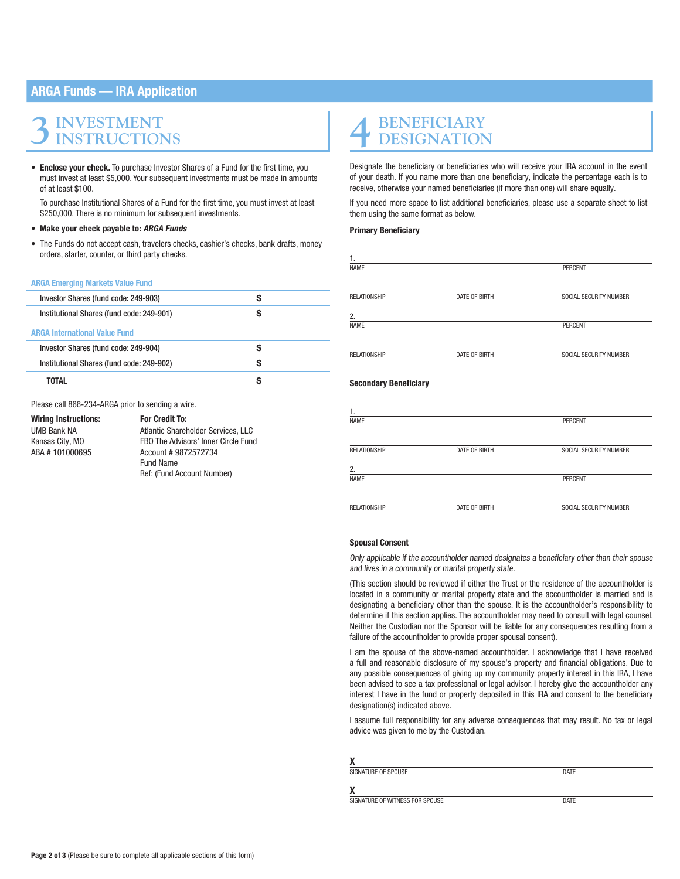### ARGA Funds — IRA Application

# **3INVESTMENT INSTRUCTIONS**

• Enclose vour check. To purchase Investor Shares of a Fund for the first time, you must invest at least \$5,000. Your subsequent investments must be made in amounts of at least \$100.

To purchase Institutional Shares of a Fund for the first time, you must invest at least \$250,000. There is no minimum for subsequent investments.

- Make your check payable to: ARGA Funds
- The Funds do not accept cash, travelers checks, cashier's checks, bank drafts, money orders, starter, counter, or third party checks.

#### ARGA Emerging Markets Value Fund

| Investor Shares (fund code: 249-903)      |   |
|-------------------------------------------|---|
| Institutional Shares (fund code: 249-901) | S |
| <b>ARGA International Value Fund</b>      |   |
| Investor Shares (fund code: 249-904)      |   |
| Institutional Shares (fund code: 249-902) |   |
| TOTAL                                     |   |

Please call 866-234-ARGA prior to sending a wire.

### Wiring Instructions: For Credit To:

UMB Bank NA Atlantic Shareholder Services, LLC Kansas City, MO FBO The Advisors' Inner Circle Fund<br>ABA # 101000695 Account # 9872572734 Account # 9872572734 Fund Name Ref: (Fund Account Number)

# **4 BENEFICIARY DESIGNATION**

Designate the beneficiary or beneficiaries who will receive your IRA account in the event of your death. If you name more than one beneficiary, indicate the percentage each is to receive, otherwise your named beneficiaries (if more than one) will share equally.

If you need more space to list additional beneficiaries, please use a separate sheet to list them using the same format as below.

### Primary Beneficiary

| 1.                           |               |                        |
|------------------------------|---------------|------------------------|
| <b>NAME</b>                  |               | <b>PERCENT</b>         |
|                              |               |                        |
|                              |               |                        |
| RELATIONSHIP                 | DATE OF BIRTH | SOCIAL SECURITY NUMBER |
| 2.                           |               |                        |
|                              |               |                        |
| <b>NAME</b>                  |               | <b>PERCENT</b>         |
|                              |               |                        |
|                              |               |                        |
| RELATIONSHIP                 | DATE OF BIRTH | SOCIAL SECURITY NUMBER |
|                              |               |                        |
|                              |               |                        |
| <b>Secondary Beneficiary</b> |               |                        |
|                              |               |                        |
| 1.                           |               |                        |
| <b>NAME</b>                  |               | <b>PERCENT</b>         |
|                              |               |                        |
|                              |               |                        |
| <b>RELATIONSHIP</b>          | DATE OF BIRTH | SOCIAL SECURITY NUMBER |
|                              |               |                        |
| 2.                           |               |                        |
| <b>NAME</b>                  |               | <b>PERCENT</b>         |
|                              |               |                        |
|                              |               |                        |

RELATIONSHIP DATE OF BIRTH SOCIAL SECURITY NUMBER

### Spousal Consent

Only applicable if the accountholder named designates a beneficiary other than their spouse and lives in a community or marital property state.

(This section should be reviewed if either the Trust or the residence of the accountholder is located in a community or marital property state and the accountholder is married and is designating a beneficiary other than the spouse. It is the accountholder's responsibility to determine if this section applies. The accountholder may need to consult with legal counsel. Neither the Custodian nor the Sponsor will be liable for any consequences resulting from a failure of the accountholder to provide proper spousal consent).

I am the spouse of the above-named accountholder. I acknowledge that I have received a full and reasonable disclosure of my spouse's property and financial obligations. Due to any possible consequences of giving up my community property interest in this IRA, I have been advised to see a tax professional or legal advisor. I hereby give the accountholder any interest I have in the fund or property deposited in this IRA and consent to the beneficiary designation(s) indicated above.

I assume full responsibility for any adverse consequences that may result. No tax or legal advice was given to me by the Custodian.

| χ                               |             |  |
|---------------------------------|-------------|--|
| SIGNATURE OF SPOUSE             | DATE        |  |
| χ                               |             |  |
| SIGNATURE OF WITNESS FOR SPOUSE | <b>DATE</b> |  |

 $\frac{\mathbf{X}}{\text{SIG}}$